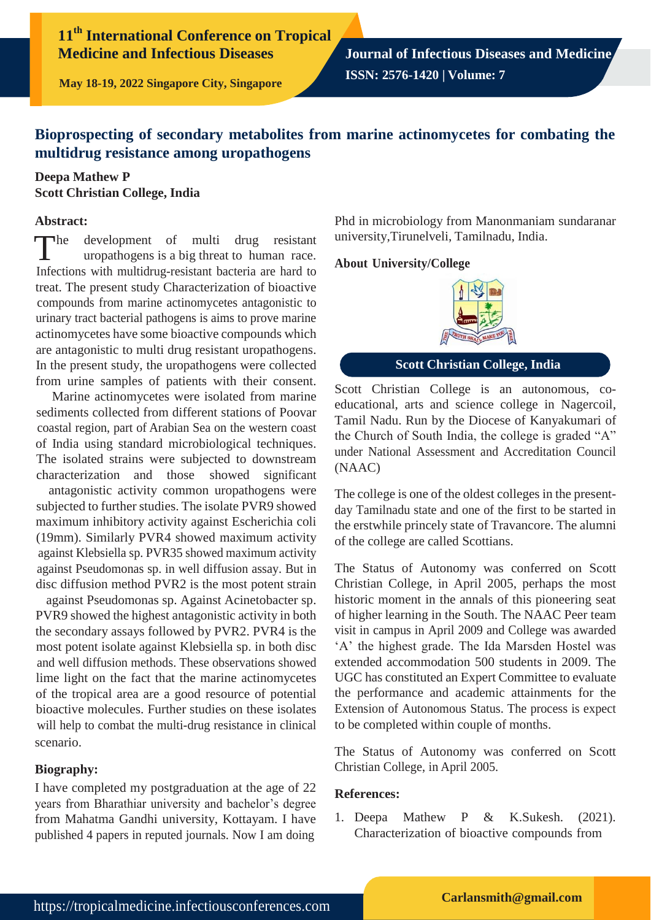# **11th International Conference on Tropical Medicine and Infectious Diseases**

**Journal of Infectious Diseases and Medicine ISSN: 2576-1420 | Volume: 7**

**May 18-19, 2022 Singapore City, Singapore**

## **Bioprospecting of secondary metabolites from marine actinomycetes for combating the multidrug resistance among uropathogens**

## **Deepa Mathew P Scott Christian College, India**

#### **Abstract:**

 $\n **The**\n$ development of multi drug resistant uropathogens is a big threat to human race. Infections with multidrug-resistant bacteria are hard to treat. The present study Characterization of bioactive compounds from marine actinomycetes antagonistic to urinary tract bacterial pathogens is aims to prove marine actinomycetes have some bioactive compounds which are antagonistic to multi drug resistant uropathogens. In the present study, the uropathogens were collected from urine samples of patients with their consent.

Marine actinomycetes were isolated from marine sediments collected from different stations of Poovar coastal region, part of Arabian Sea on the western coast of India using standard microbiological techniques. The isolated strains were subjected to downstream characterization and those showed significant

antagonistic activity common uropathogens were subjected to further studies. The isolate PVR9 showed maximum inhibitory activity against Escherichia coli (19mm). Similarly PVR4 showed maximum activity against Klebsiella sp. PVR35 showed maximum activity against Pseudomonas sp. in well diffusion assay. But in disc diffusion method PVR2 is the most potent strain

against Pseudomonas sp. Against Acinetobacter sp. PVR9 showed the highest antagonistic activity in both the secondary assays followed by PVR2. PVR4 is the most potent isolate against Klebsiella sp. in both disc and well diffusion methods. These observations showed lime light on the fact that the marine actinomycetes of the tropical area are a good resource of potential bioactive molecules. Further studies on these isolates will help to combat the multi-drug resistance in clinical scenario.

### **Biography:**

I have completed my postgraduation at the age of 22 years from Bharathiar university and bachelor's degree from Mahatma Gandhi university, Kottayam. I have published 4 papers in reputed journals. Now I am doing

Phd in microbiology from Manonmaniam sundaranar university,Tirunelveli, Tamilnadu, India.

#### **About University/College**



**Scott Christian College, India**

Scott Christian College is an autonomous, coeducational, arts and science college in Nagercoil, Tamil Nadu. Run by the Diocese of Kanyakumari of the Church of South India, the college is graded "A" under National Assessment and Accreditation Council (NAAC)

The college is one of the oldest colleges in the presentday Tamilnadu state and one of the first to be started in the erstwhile princely state of Travancore. The alumni of the college are called Scottians.

The Status of Autonomy was conferred on Scott Christian College, in April 2005, perhaps the most historic moment in the annals of this pioneering seat of higher learning in the South. The NAAC Peer team visit in campus in April 2009 and College was awarded 'A' the highest grade. The Ida Marsden Hostel was extended accommodation 500 students in 2009. The UGC has constituted an Expert Committee to evaluate the performance and academic attainments for the Extension of Autonomous Status. The process is expect to be completed within couple of months.

The Status of Autonomy was conferred on Scott Christian College, in April 2005.

### **References:**

1. Deepa Mathew P & K.Sukesh. (2021). Characterization of bioactive compounds from